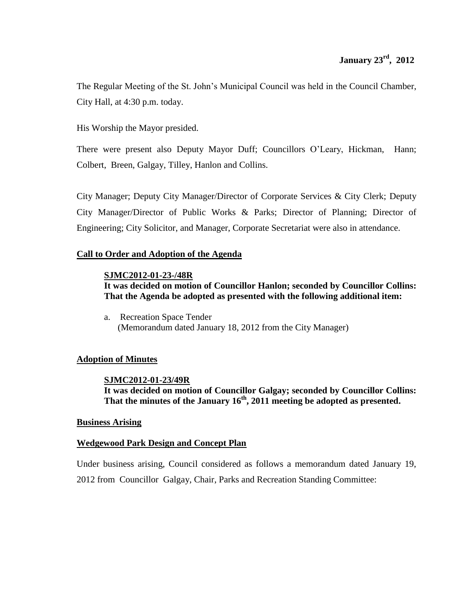The Regular Meeting of the St. John's Municipal Council was held in the Council Chamber, City Hall, at 4:30 p.m. today.

His Worship the Mayor presided.

There were present also Deputy Mayor Duff; Councillors O'Leary, Hickman, Hann; Colbert, Breen, Galgay, Tilley, Hanlon and Collins.

City Manager; Deputy City Manager/Director of Corporate Services & City Clerk; Deputy City Manager/Director of Public Works & Parks; Director of Planning; Director of Engineering; City Solicitor, and Manager, Corporate Secretariat were also in attendance.

# **Call to Order and Adoption of the Agenda**

# **SJMC2012-01-23-/48R**

**It was decided on motion of Councillor Hanlon; seconded by Councillor Collins: That the Agenda be adopted as presented with the following additional item:**

a. Recreation Space Tender (Memorandum dated January 18, 2012 from the City Manager)

# **Adoption of Minutes**

# **SJMC2012-01-23/49R It was decided on motion of Councillor Galgay; seconded by Councillor Collins: That the minutes of the January 16th , 2011 meeting be adopted as presented.**

# **Business Arising**

# **Wedgewood Park Design and Concept Plan**

Under business arising, Council considered as follows a memorandum dated January 19, 2012 from Councillor Galgay, Chair, Parks and Recreation Standing Committee: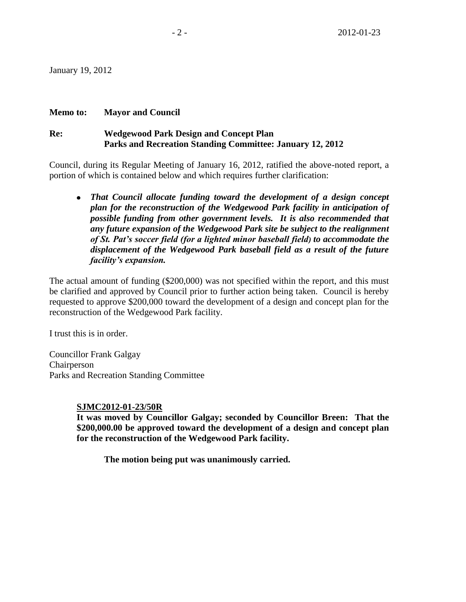January 19, 2012

# **Memo to: Mayor and Council**

# **Re: Wedgewood Park Design and Concept Plan Parks and Recreation Standing Committee: January 12, 2012**

Council, during its Regular Meeting of January 16, 2012, ratified the above-noted report, a portion of which is contained below and which requires further clarification:

*That Council allocate funding toward the development of a design concept plan for the reconstruction of the Wedgewood Park facility in anticipation of possible funding from other government levels. It is also recommended that any future expansion of the Wedgewood Park site be subject to the realignment of St. Pat's soccer field (for a lighted minor baseball field) to accommodate the displacement of the Wedgewood Park baseball field as a result of the future facility's expansion.* 

The actual amount of funding (\$200,000) was not specified within the report, and this must be clarified and approved by Council prior to further action being taken. Council is hereby requested to approve \$200,000 toward the development of a design and concept plan for the reconstruction of the Wedgewood Park facility.

I trust this is in order.

Councillor Frank Galgay Chairperson Parks and Recreation Standing Committee

# **SJMC2012-01-23/50R**

**It was moved by Councillor Galgay; seconded by Councillor Breen: That the \$200,000.00 be approved toward the development of a design and concept plan for the reconstruction of the Wedgewood Park facility.**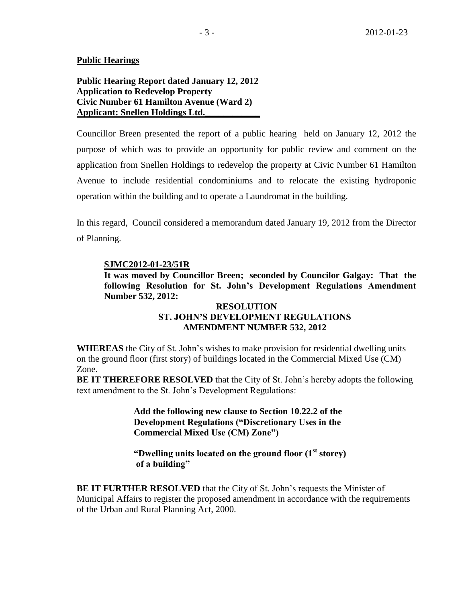## **Public Hearings**

**Public Hearing Report dated January 12, 2012 Application to Redevelop Property Civic Number 61 Hamilton Avenue (Ward 2) Applicant: Snellen Holdings Ltd.\_\_\_\_\_\_\_\_\_\_\_\_**

Councillor Breen presented the report of a public hearing held on January 12, 2012 the purpose of which was to provide an opportunity for public review and comment on the application from Snellen Holdings to redevelop the property at Civic Number 61 Hamilton Avenue to include residential condominiums and to relocate the existing hydroponic operation within the building and to operate a Laundromat in the building.

In this regard, Council considered a memorandum dated January 19, 2012 from the Director of Planning.

### **SJMC2012-01-23/51R**

**It was moved by Councillor Breen; seconded by Councilor Galgay: That the following Resolution for St. John's Development Regulations Amendment Number 532, 2012:**

# **RESOLUTION ST. JOHN'S DEVELOPMENT REGULATIONS AMENDMENT NUMBER 532, 2012**

**WHEREAS** the City of St. John's wishes to make provision for residential dwelling units on the ground floor (first story) of buildings located in the Commercial Mixed Use (CM) Zone.

**BE IT THEREFORE RESOLVED** that the City of St. John's hereby adopts the following text amendment to the St. John's Development Regulations:

> **Add the following new clause to Section 10.22.2 of the Development Regulations ("Discretionary Uses in the Commercial Mixed Use (CM) Zone")**

**"Dwelling units located on the ground floor (1st storey) of a building"**

**BE IT FURTHER RESOLVED** that the City of St. John's requests the Minister of Municipal Affairs to register the proposed amendment in accordance with the requirements of the Urban and Rural Planning Act, 2000.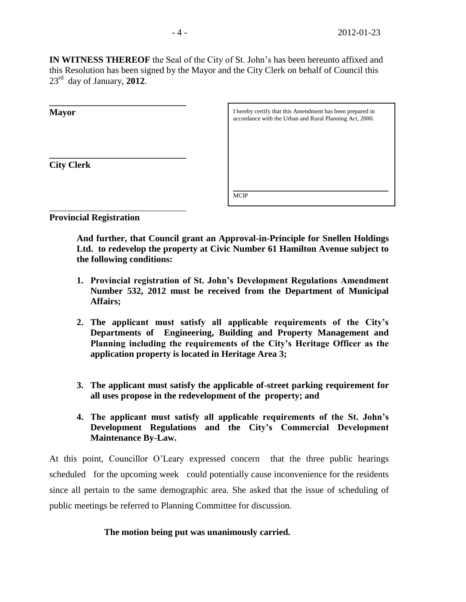**IN WITNESS THEREOF** the Seal of the City of St. John's has been hereunto affixed and this Resolution has been signed by the Mayor and the City Clerk on behalf of Council this 23rd day of January, **2012**.

| <b>Mayor</b>      | I hereby certify that this Amendment has been prepared in |
|-------------------|-----------------------------------------------------------|
|                   | accordance with the Urban and Rural Planning Act, 2000.   |
|                   |                                                           |
|                   |                                                           |
|                   |                                                           |
| <b>City Clerk</b> |                                                           |
|                   |                                                           |
|                   | <b>MCIP</b>                                               |
|                   |                                                           |

**Provincial Registration**

**And further, that Council grant an Approval-in-Principle for Snellen Holdings Ltd. to redevelop the property at Civic Number 61 Hamilton Avenue subject to the following conditions:**

- **1. Provincial registration of St. John's Development Regulations Amendment Number 532, 2012 must be received from the Department of Municipal Affairs;**
- **2. The applicant must satisfy all applicable requirements of the City's Departments of Engineering, Building and Property Management and Planning including the requirements of the City's Heritage Officer as the application property is located in Heritage Area 3;**
- **3. The applicant must satisfy the applicable of-street parking requirement for all uses propose in the redevelopment of the property; and**
- **4. The applicant must satisfy all applicable requirements of the St. John's Development Regulations and the City's Commercial Development Maintenance By-Law.**

At this point, Councillor O'Leary expressed concern that the three public hearings scheduled for the upcoming week could potentially cause inconvenience for the residents since all pertain to the same demographic area. She asked that the issue of scheduling of public meetings be referred to Planning Committee for discussion.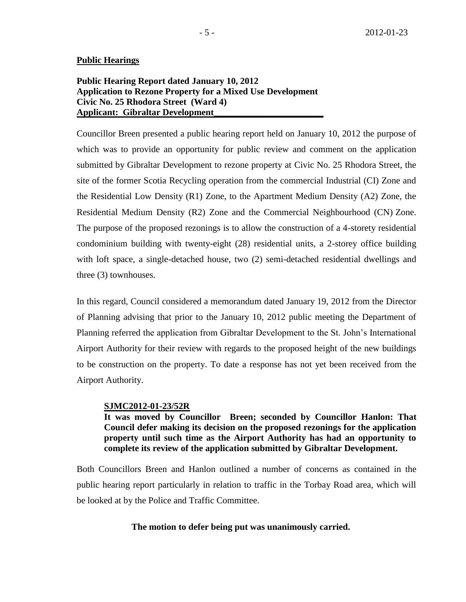## **Public Hearings**

# **Public Hearing Report dated January 10, 2012 Application to Rezone Property for a Mixed Use Development Civic No. 25 Rhodora Street (Ward 4) Applicant: Gibraltar Development\_\_\_\_\_\_\_\_\_\_\_\_\_\_\_\_\_\_\_\_\_\_\_\_**

Councillor Breen presented a public hearing report held on January 10, 2012 the purpose of which was to provide an opportunity for public review and comment on the application submitted by Gibraltar Development to rezone property at Civic No. 25 Rhodora Street, the site of the former Scotia Recycling operation from the commercial Industrial (CI) Zone and the Residential Low Density (R1) Zone, to the Apartment Medium Density (A2) Zone, the Residential Medium Density (R2) Zone and the Commercial Neighbourhood (CN) Zone. The purpose of the proposed rezonings is to allow the construction of a 4-storety residential condominium building with twenty-eight (28) residential units, a 2-storey office building with loft space, a single-detached house, two (2) semi-detached residential dwellings and three (3) townhouses.

In this regard, Council considered a memorandum dated January 19, 2012 from the Director of Planning advising that prior to the January 10, 2012 public meeting the Department of Planning referred the application from Gibraltar Development to the St. John's International Airport Authority for their review with regards to the proposed height of the new buildings to be construction on the property. To date a response has not yet been received from the Airport Authority.

## **SJMC2012-01-23/52R**

**It was moved by Councillor Breen; seconded by Councillor Hanlon: That Council defer making its decision on the proposed rezonings for the application property until such time as the Airport Authority has had an opportunity to complete its review of the application submitted by Gibraltar Development.**

Both Councillors Breen and Hanlon outlined a number of concerns as contained in the public hearing report particularly in relation to traffic in the Torbay Road area, which will be looked at by the Police and Traffic Committee.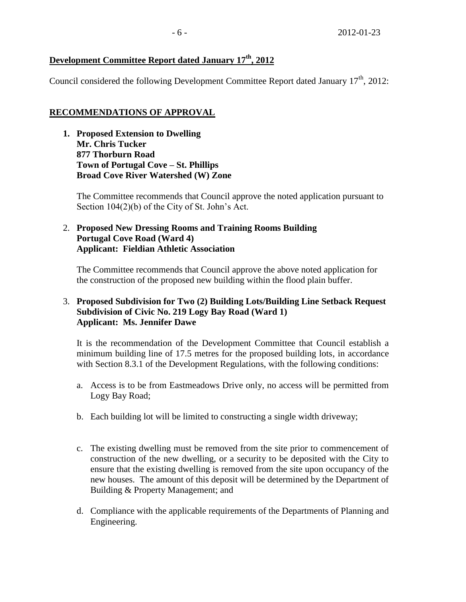# **Development Committee Report dated January 17th, 2012**

Council considered the following Development Committee Report dated January  $17<sup>th</sup>$ , 2012:

# **RECOMMENDATIONS OF APPROVAL**

**1. Proposed Extension to Dwelling Mr. Chris Tucker 877 Thorburn Road Town of Portugal Cove – St. Phillips Broad Cove River Watershed (W) Zone**

The Committee recommends that Council approve the noted application pursuant to Section 104(2)(b) of the City of St. John's Act.

# 2. **Proposed New Dressing Rooms and Training Rooms Building Portugal Cove Road (Ward 4) Applicant: Fieldian Athletic Association**

The Committee recommends that Council approve the above noted application for the construction of the proposed new building within the flood plain buffer.

# 3. **Proposed Subdivision for Two (2) Building Lots/Building Line Setback Request Subdivision of Civic No. 219 Logy Bay Road (Ward 1) Applicant: Ms. Jennifer Dawe**

It is the recommendation of the Development Committee that Council establish a minimum building line of 17.5 metres for the proposed building lots, in accordance with Section 8.3.1 of the Development Regulations, with the following conditions:

- a. Access is to be from Eastmeadows Drive only, no access will be permitted from Logy Bay Road;
- b. Each building lot will be limited to constructing a single width driveway;
- c. The existing dwelling must be removed from the site prior to commencement of construction of the new dwelling, or a security to be deposited with the City to ensure that the existing dwelling is removed from the site upon occupancy of the new houses. The amount of this deposit will be determined by the Department of Building & Property Management; and
- d. Compliance with the applicable requirements of the Departments of Planning and Engineering.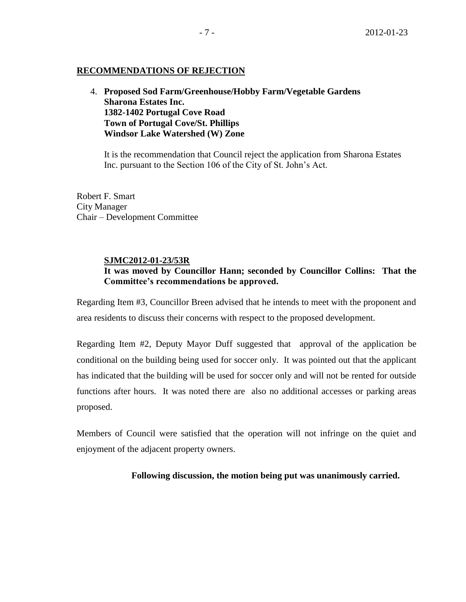# **RECOMMENDATIONS OF REJECTION**

4. **Proposed Sod Farm/Greenhouse/Hobby Farm/Vegetable Gardens Sharona Estates Inc. 1382-1402 Portugal Cove Road Town of Portugal Cove/St. Phillips Windsor Lake Watershed (W) Zone**

It is the recommendation that Council reject the application from Sharona Estates Inc. pursuant to the Section 106 of the City of St. John's Act.

Robert F. Smart City Manager Chair – Development Committee

## **SJMC2012-01-23/53R**

# **It was moved by Councillor Hann; seconded by Councillor Collins: That the Committee's recommendations be approved.**

Regarding Item #3, Councillor Breen advised that he intends to meet with the proponent and area residents to discuss their concerns with respect to the proposed development.

Regarding Item #2, Deputy Mayor Duff suggested that approval of the application be conditional on the building being used for soccer only. It was pointed out that the applicant has indicated that the building will be used for soccer only and will not be rented for outside functions after hours. It was noted there are also no additional accesses or parking areas proposed.

Members of Council were satisfied that the operation will not infringe on the quiet and enjoyment of the adjacent property owners.

**Following discussion, the motion being put was unanimously carried.**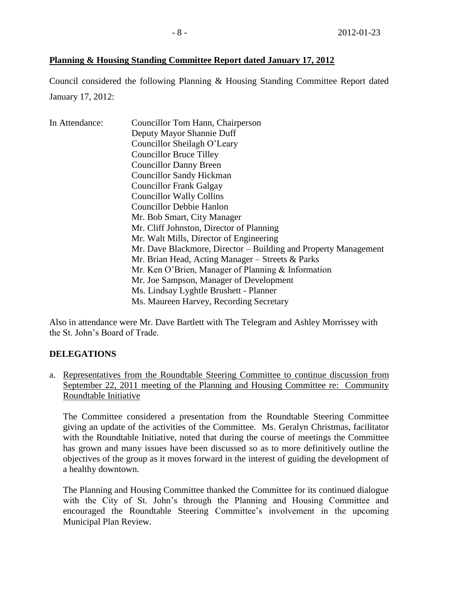# **Planning & Housing Standing Committee Report dated January 17, 2012**

Council considered the following Planning & Housing Standing Committee Report dated January 17, 2012:

| In Attendance: | Councillor Tom Hann, Chairperson                                |
|----------------|-----------------------------------------------------------------|
|                | Deputy Mayor Shannie Duff                                       |
|                | Councillor Sheilagh O'Leary                                     |
|                | <b>Councillor Bruce Tilley</b>                                  |
|                | <b>Councillor Danny Breen</b>                                   |
|                | <b>Councillor Sandy Hickman</b>                                 |
|                | <b>Councillor Frank Galgay</b>                                  |
|                | <b>Councillor Wally Collins</b>                                 |
|                | <b>Councillor Debbie Hanlon</b>                                 |
|                | Mr. Bob Smart, City Manager                                     |
|                | Mr. Cliff Johnston, Director of Planning                        |
|                | Mr. Walt Mills, Director of Engineering                         |
|                | Mr. Dave Blackmore, Director – Building and Property Management |
|                | Mr. Brian Head, Acting Manager – Streets & Parks                |
|                | Mr. Ken O'Brien, Manager of Planning & Information              |
|                | Mr. Joe Sampson, Manager of Development                         |
|                | Ms. Lindsay Lyghtle Brushett - Planner                          |
|                | Ms. Maureen Harvey, Recording Secretary                         |

Also in attendance were Mr. Dave Bartlett with The Telegram and Ashley Morrissey with the St. John's Board of Trade.

# **DELEGATIONS**

a. Representatives from the Roundtable Steering Committee to continue discussion from September 22, 2011 meeting of the Planning and Housing Committee re: Community Roundtable Initiative

The Committee considered a presentation from the Roundtable Steering Committee giving an update of the activities of the Committee. Ms. Geralyn Christmas, facilitator with the Roundtable Initiative, noted that during the course of meetings the Committee has grown and many issues have been discussed so as to more definitively outline the objectives of the group as it moves forward in the interest of guiding the development of a healthy downtown.

The Planning and Housing Committee thanked the Committee for its continued dialogue with the City of St. John's through the Planning and Housing Committee and encouraged the Roundtable Steering Committee's involvement in the upcoming Municipal Plan Review.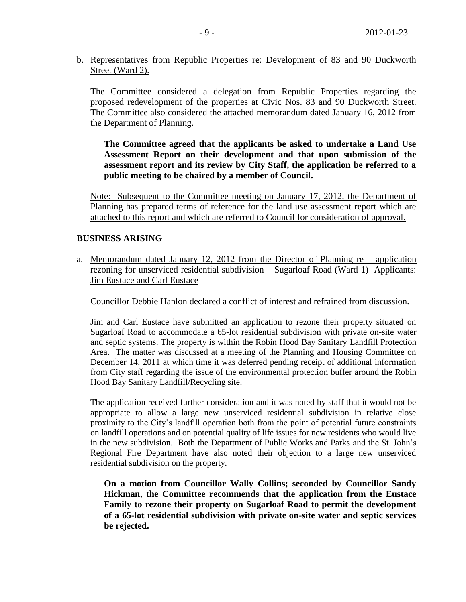b. Representatives from Republic Properties re: Development of 83 and 90 Duckworth Street (Ward 2).

The Committee considered a delegation from Republic Properties regarding the proposed redevelopment of the properties at Civic Nos. 83 and 90 Duckworth Street. The Committee also considered the attached memorandum dated January 16, 2012 from the Department of Planning.

**The Committee agreed that the applicants be asked to undertake a Land Use Assessment Report on their development and that upon submission of the assessment report and its review by City Staff, the application be referred to a public meeting to be chaired by a member of Council.**

Note: Subsequent to the Committee meeting on January 17, 2012, the Department of Planning has prepared terms of reference for the land use assessment report which are attached to this report and which are referred to Council for consideration of approval.

# **BUSINESS ARISING**

a. Memorandum dated January 12, 2012 from the Director of Planning re – application rezoning for unserviced residential subdivision – Sugarloaf Road (Ward 1) Applicants: Jim Eustace and Carl Eustace

Councillor Debbie Hanlon declared a conflict of interest and refrained from discussion.

Jim and Carl Eustace have submitted an application to rezone their property situated on Sugarloaf Road to accommodate a 65-lot residential subdivision with private on-site water and septic systems. The property is within the Robin Hood Bay Sanitary Landfill Protection Area. The matter was discussed at a meeting of the Planning and Housing Committee on December 14, 2011 at which time it was deferred pending receipt of additional information from City staff regarding the issue of the environmental protection buffer around the Robin Hood Bay Sanitary Landfill/Recycling site.

The application received further consideration and it was noted by staff that it would not be appropriate to allow a large new unserviced residential subdivision in relative close proximity to the City's landfill operation both from the point of potential future constraints on landfill operations and on potential quality of life issues for new residents who would live in the new subdivision. Both the Department of Public Works and Parks and the St. John's Regional Fire Department have also noted their objection to a large new unserviced residential subdivision on the property.

**On a motion from Councillor Wally Collins; seconded by Councillor Sandy Hickman, the Committee recommends that the application from the Eustace Family to rezone their property on Sugarloaf Road to permit the development of a 65-lot residential subdivision with private on-site water and septic services be rejected.**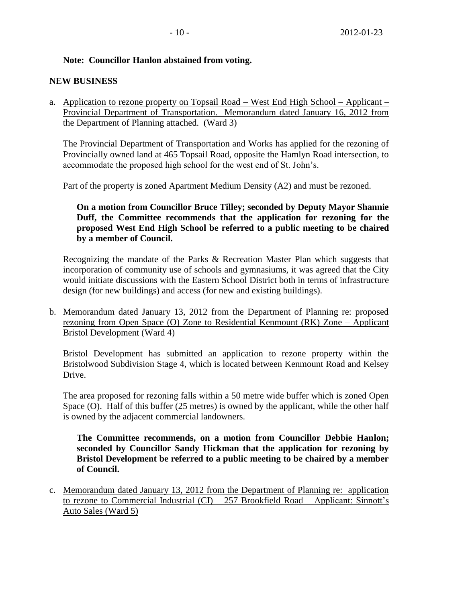# **Note: Councillor Hanlon abstained from voting.**

# **NEW BUSINESS**

a. Application to rezone property on Topsail Road – West End High School – Applicant – Provincial Department of Transportation. Memorandum dated January 16, 2012 from the Department of Planning attached. (Ward 3)

The Provincial Department of Transportation and Works has applied for the rezoning of Provincially owned land at 465 Topsail Road, opposite the Hamlyn Road intersection, to accommodate the proposed high school for the west end of St. John's.

Part of the property is zoned Apartment Medium Density (A2) and must be rezoned.

**On a motion from Councillor Bruce Tilley; seconded by Deputy Mayor Shannie Duff, the Committee recommends that the application for rezoning for the proposed West End High School be referred to a public meeting to be chaired by a member of Council.**

Recognizing the mandate of the Parks & Recreation Master Plan which suggests that incorporation of community use of schools and gymnasiums, it was agreed that the City would initiate discussions with the Eastern School District both in terms of infrastructure design (for new buildings) and access (for new and existing buildings).

b. Memorandum dated January 13, 2012 from the Department of Planning re: proposed rezoning from Open Space (O) Zone to Residential Kenmount (RK) Zone – Applicant Bristol Development (Ward 4)

Bristol Development has submitted an application to rezone property within the Bristolwood Subdivision Stage 4, which is located between Kenmount Road and Kelsey Drive.

The area proposed for rezoning falls within a 50 metre wide buffer which is zoned Open Space (O). Half of this buffer (25 metres) is owned by the applicant, while the other half is owned by the adjacent commercial landowners.

**The Committee recommends, on a motion from Councillor Debbie Hanlon; seconded by Councillor Sandy Hickman that the application for rezoning by Bristol Development be referred to a public meeting to be chaired by a member of Council.**

c. Memorandum dated January 13, 2012 from the Department of Planning re: application to rezone to Commercial Industrial (CI) – 257 Brookfield Road – Applicant: Sinnott's Auto Sales (Ward 5)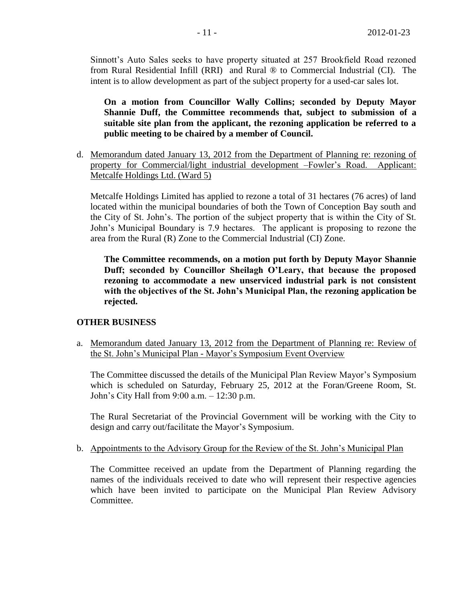Sinnott's Auto Sales seeks to have property situated at 257 Brookfield Road rezoned from Rural Residential Infill (RRI) and Rural ® to Commercial Industrial (CI). The intent is to allow development as part of the subject property for a used-car sales lot.

**On a motion from Councillor Wally Collins; seconded by Deputy Mayor Shannie Duff, the Committee recommends that, subject to submission of a suitable site plan from the applicant, the rezoning application be referred to a public meeting to be chaired by a member of Council.**

d. Memorandum dated January 13, 2012 from the Department of Planning re: rezoning of property for Commercial/light industrial development –Fowler's Road. Applicant: Metcalfe Holdings Ltd. (Ward 5)

Metcalfe Holdings Limited has applied to rezone a total of 31 hectares (76 acres) of land located within the municipal boundaries of both the Town of Conception Bay south and the City of St. John's. The portion of the subject property that is within the City of St. John's Municipal Boundary is 7.9 hectares. The applicant is proposing to rezone the area from the Rural (R) Zone to the Commercial Industrial (CI) Zone.

**The Committee recommends, on a motion put forth by Deputy Mayor Shannie Duff; seconded by Councillor Sheilagh O'Leary, that because the proposed rezoning to accommodate a new unserviced industrial park is not consistent with the objectives of the St. John's Municipal Plan, the rezoning application be rejected.**

# **OTHER BUSINESS**

a. Memorandum dated January 13, 2012 from the Department of Planning re: Review of the St. John's Municipal Plan - Mayor's Symposium Event Overview

The Committee discussed the details of the Municipal Plan Review Mayor's Symposium which is scheduled on Saturday, February 25, 2012 at the Foran/Greene Room, St. John's City Hall from 9:00 a.m. – 12:30 p.m.

The Rural Secretariat of the Provincial Government will be working with the City to design and carry out/facilitate the Mayor's Symposium.

b. Appointments to the Advisory Group for the Review of the St. John's Municipal Plan

The Committee received an update from the Department of Planning regarding the names of the individuals received to date who will represent their respective agencies which have been invited to participate on the Municipal Plan Review Advisory Committee.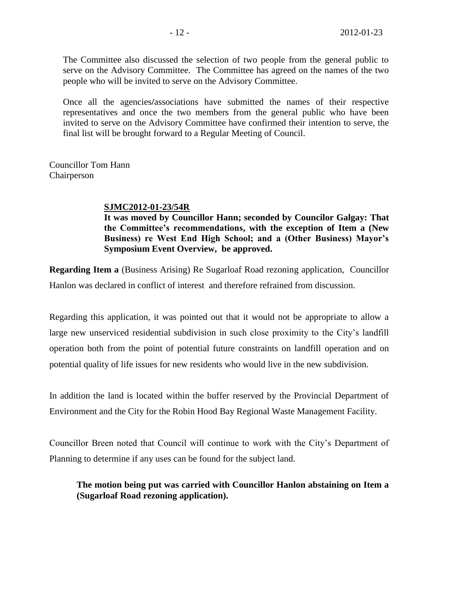The Committee also discussed the selection of two people from the general public to serve on the Advisory Committee. The Committee has agreed on the names of the two people who will be invited to serve on the Advisory Committee.

Once all the agencies**/**associations have submitted the names of their respective representatives and once the two members from the general public who have been invited to serve on the Advisory Committee have confirmed their intention to serve, the final list will be brought forward to a Regular Meeting of Council.

Councillor Tom Hann Chairperson

## **SJMC2012-01-23/54R**

**It was moved by Councillor Hann; seconded by Councilor Galgay: That the Committee's recommendations, with the exception of Item a (New Business) re West End High School; and a (Other Business) Mayor's Symposium Event Overview, be approved.**

**Regarding Item a** (Business Arising) Re Sugarloaf Road rezoning application, Councillor Hanlon was declared in conflict of interest and therefore refrained from discussion.

Regarding this application, it was pointed out that it would not be appropriate to allow a large new unserviced residential subdivision in such close proximity to the City's landfill operation both from the point of potential future constraints on landfill operation and on potential quality of life issues for new residents who would live in the new subdivision.

In addition the land is located within the buffer reserved by the Provincial Department of Environment and the City for the Robin Hood Bay Regional Waste Management Facility.

Councillor Breen noted that Council will continue to work with the City's Department of Planning to determine if any uses can be found for the subject land.

**The motion being put was carried with Councillor Hanlon abstaining on Item a (Sugarloaf Road rezoning application).**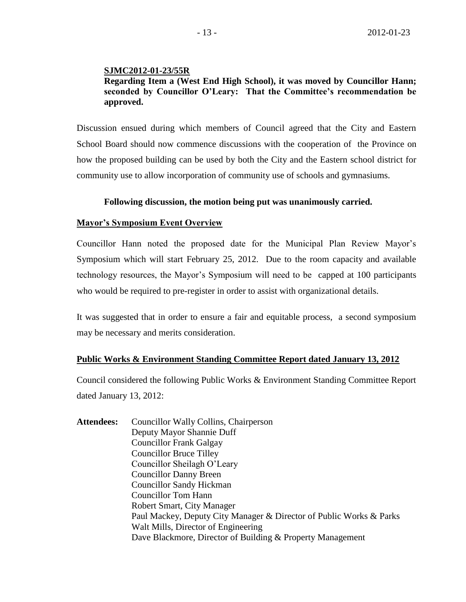# **SJMC2012-01-23/55R**

# **Regarding Item a (West End High School), it was moved by Councillor Hann; seconded by Councillor O'Leary: That the Committee's recommendation be approved.**

Discussion ensued during which members of Council agreed that the City and Eastern School Board should now commence discussions with the cooperation of the Province on how the proposed building can be used by both the City and the Eastern school district for community use to allow incorporation of community use of schools and gymnasiums.

### **Following discussion, the motion being put was unanimously carried.**

#### **Mayor's Symposium Event Overview**

Councillor Hann noted the proposed date for the Municipal Plan Review Mayor's Symposium which will start February 25, 2012. Due to the room capacity and available technology resources, the Mayor's Symposium will need to be capped at 100 participants who would be required to pre-register in order to assist with organizational details.

It was suggested that in order to ensure a fair and equitable process, a second symposium may be necessary and merits consideration.

#### **Public Works & Environment Standing Committee Report dated January 13, 2012**

Council considered the following Public Works & Environment Standing Committee Report dated January 13, 2012:

**Attendees:** Councillor Wally Collins, Chairperson Deputy Mayor Shannie Duff Councillor Frank Galgay Councillor Bruce Tilley Councillor Sheilagh O'Leary Councillor Danny Breen Councillor Sandy Hickman Councillor Tom Hann Robert Smart, City Manager Paul Mackey, Deputy City Manager & Director of Public Works & Parks Walt Mills, Director of Engineering Dave Blackmore, Director of Building & Property Management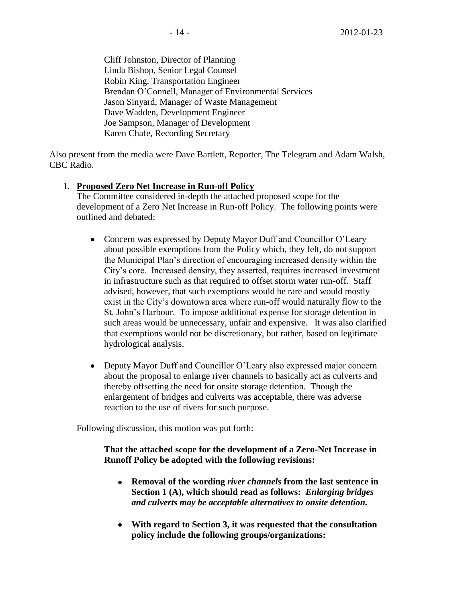Cliff Johnston, Director of Planning Linda Bishop, Senior Legal Counsel Robin King, Transportation Engineer Brendan O'Connell, Manager of Environmental Services Jason Sinyard, Manager of Waste Management Dave Wadden, Development Engineer Joe Sampson, Manager of Development Karen Chafe, Recording Secretary

Also present from the media were Dave Bartlett, Reporter, The Telegram and Adam Walsh, CBC Radio.

# 1. **Proposed Zero Net Increase in Run-off Policy**

The Committee considered in-depth the attached proposed scope for the development of a Zero Net Increase in Run-off Policy. The following points were outlined and debated:

- Concern was expressed by Deputy Mayor Duff and Councillor O'Leary  $\bullet$ about possible exemptions from the Policy which, they felt, do not support the Municipal Plan's direction of encouraging increased density within the City's core. Increased density, they asserted, requires increased investment in infrastructure such as that required to offset storm water run-off. Staff advised, however, that such exemptions would be rare and would mostly exist in the City's downtown area where run-off would naturally flow to the St. John's Harbour. To impose additional expense for storage detention in such areas would be unnecessary, unfair and expensive. It was also clarified that exemptions would not be discretionary, but rather, based on legitimate hydrological analysis.
- Deputy Mayor Duff and Councillor O'Leary also expressed major concern about the proposal to enlarge river channels to basically act as culverts and thereby offsetting the need for onsite storage detention. Though the enlargement of bridges and culverts was acceptable, there was adverse reaction to the use of rivers for such purpose.

Following discussion, this motion was put forth:

# **That the attached scope for the development of a Zero-Net Increase in Runoff Policy be adopted with the following revisions:**

- **Removal of the wording** *river channels* **from the last sentence in Section 1 (A), which should read as follows:** *Enlarging bridges and culverts may be acceptable alternatives to onsite detention.*
- **With regard to Section 3, it was requested that the consultation policy include the following groups/organizations:**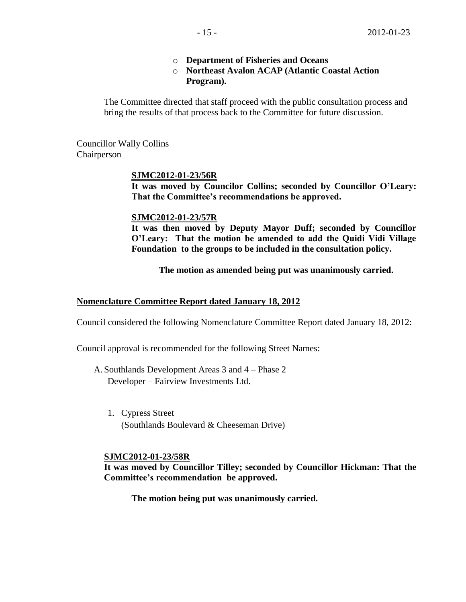- o **Department of Fisheries and Oceans**
- o **Northeast Avalon ACAP (Atlantic Coastal Action Program).**

The Committee directed that staff proceed with the public consultation process and bring the results of that process back to the Committee for future discussion.

Councillor Wally Collins Chairperson

## **SJMC2012-01-23/56R**

**It was moved by Councilor Collins; seconded by Councillor O'Leary: That the Committee's recommendations be approved.**

### **SJMC2012-01-23/57R**

**It was then moved by Deputy Mayor Duff; seconded by Councillor O'Leary: That the motion be amended to add the Quidi Vidi Village Foundation to the groups to be included in the consultation policy.**

**The motion as amended being put was unanimously carried.**

# **Nomenclature Committee Report dated January 18, 2012**

Council considered the following Nomenclature Committee Report dated January 18, 2012:

Council approval is recommended for the following Street Names:

- A. Southlands Development Areas 3 and 4 Phase 2 Developer – Fairview Investments Ltd.
	- 1. Cypress Street (Southlands Boulevard & Cheeseman Drive)

### **SJMC2012-01-23/58R**

**It was moved by Councillor Tilley; seconded by Councillor Hickman: That the Committee's recommendation be approved.**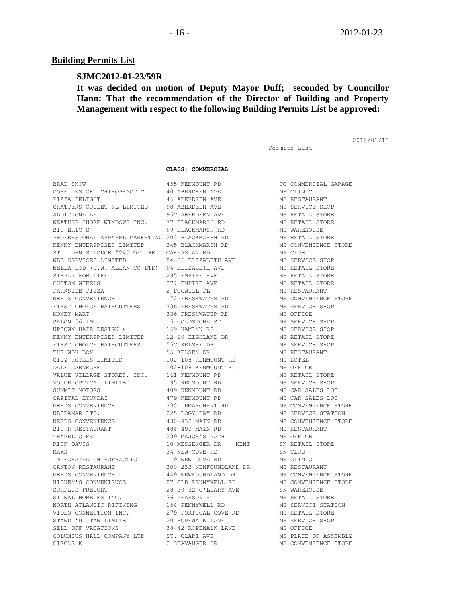#### **Building Permits List**

#### **SJMC2012-01-23/59R**

# **It was decided on motion of Deputy Mayor Duff; seconded by Councillor Hann: That the recommendation of the Director of Building and Property Management with respect to the following Building Permits List be approved:**

Permits List

2012/01/18

**CLASS: COMMERCIAL**

BRAD SNOW 455 KENMOUNT RD CO COMMERCIAL GARAGE CORE INSIGHT CHIROPRACTIC  $\begin{array}{ccc} 40 & \text{ABERDEEN AVE} \end{array}$  MS CLINIC PIZZA DELIGHT 46 ABERDEEN AVE MS RESTAURANT CHATTERS OUTLET NL LIMITED 98 ABERDEEN AVE **METER AND METER** SHOP ADDITIONELLE 95C ABERDEEN AVE MS RETAIL STORE WEATHER SHORE WINDOWS INC. 77 BLACKMARSH RD MS RETAIL STORE BIG ERIC'S 99 BLACKMARSH RD MS WAREHOUSE PROFESSIONAL APPAREL MARKETING 203 BLACKMARSH RD MS RETAIL STORE KENNY ENTERPRISES LIMITED 245 BLACKMARSH RD MS CONVENIENCE STORE ST. JOHN'S LODGE #245 OF THE CARPASIAN RD MS CLUB WLB SERVICES LIMITED 64-86 ELIZABETH AVE MS SERVICE SHOP NELLA LTD (J.W. ALLAN CO LTD) 94 ELIZABETH AVE **MILLA AUSA RETAIL STORE** SIMPLY FOR LIFE **295 EMPIRE AVE MS RETAIL STORE** CUSTOM WHEELS 377 EMPIRE AVE MS RETAIL STORE PARKSIDE PIZZA 2 FOGWILL PL MS RESTAURANT NEEDS CONVENIENCE 172 FRESHWATER RD MS CONVENIENCE STORE FIRST CHOICE HAIRCUTTERS 336 FRESHWATER RD MS SERVICE SHOP MONEY MART 336 FRESHWATER RD MS OFFICE SALON 56 INC. THE SALON SERVICE SHOP STALON 56 INC. UPTOWN HAIR DESIGN & 169 HAMLYN RD MS SERVICE SHOP KENNY ENTERPRISES LIMITED 12-20 HIGHLAND DR MS RETAIL STORE FIRST CHOICE HAIRCUTTERS 55C KELSEY DR 1999 MS SERVICE SHOP THE WOK BOX 65 STATES AND THE SEPARAL STATES AND MESS ON MS RESTAURANT CITY HOTELS LIMITED 102-108 KENMOUNT RD MS HOTEL DALE CARNEGRE 102-108 KENMOUNT RD MS OFFICE VALUE VILLAGE STORES, INC. 161 KENMOUNT RD MS RETAIL STORE VOGUE OPTICAL LIMITED 195 KENMOUNT RD MS SERVICE SHOP SUMMIT MOTORS 409 KENMOUNT RD MS CAR SALES LOT CAPITAL HYUNDAI 479 KENMOUNT RD MS CAR SALES LOT NEEDS CONVENIENCE 330 LEMARCHANT RD MS CONVENIENCE STORE ULTRAMAR LTD. 225 LOGY BAY RD MS SERVICE STATION NEEDS CONVENIENCE 430-432 MAIN RD MS CONVENIENCE STORE BIG R RESTAURANT 484-490 MAIN RD MS RESTAURANT TRAVEL QUEST 239 MAJOR'S PATH MS OFFICE RICK DAVIS 10 MESSENGER DR KENT SN RETAIL STORE MAXX 34 NEW COVE RD SN CLUB INTEGRATED CHIROPRACTIC 119 NEW COVE RD MS CLINIC CANTON RESTAURANT 200-232 NEWFOUNDLAND DR MS RESTAURANT NEEDS CONVENIENCE 449 NEWFOUNDLAND DR MS CONVENIENCE STORE HICKEY'S CONVENIENCE 87 OLD PENNYWELL RD MS CONVENIENCE STORE SURPLUS FREIGHT 28-30-32 O'LEARY AVE SN WAREHOUSE SIGNAL HOBBIES INC. 36 PEARSON ST MS RETAIL STORE NORTH ATLANTIC REFINING  $154$  PENNYWELL RD  $\qquad$  MS SERVICE STATION VIDEO CONNECTION INC.  $279$  PORTUGAL COVE RD MS RETAIL STORE STAND 'N' TAN LIMITED  $20$  ROPEWALK LANE MS SERVICE SHOP SELL OFF VACATIONS 38-42 ROPEWALK LANE MS OFFICE COLUMBUS HALL COMPANY LTD ST. CLARE AVE MS PLACE OF ASSEMBLY CIRCLE K 2 STAVANGER DR MS CONVENIENCE STORE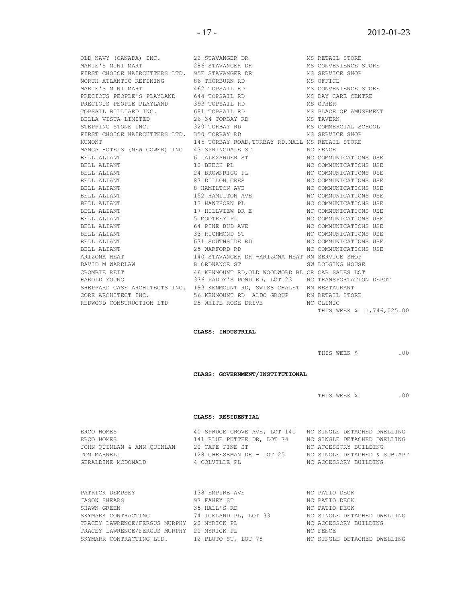|                                                          | OLD NAVY (CANADA) INC. 22 STAVANGER DR                                                                                                                                      | MS RETAIL STORE           |
|----------------------------------------------------------|-----------------------------------------------------------------------------------------------------------------------------------------------------------------------------|---------------------------|
|                                                          | MARIE'S MINI MART 286 STAVANGER DR MS CONVENIENCE STORE                                                                                                                     |                           |
| FIRST CHOICE HAIRCUTTERS LTD. 95E STAVANGER DR           |                                                                                                                                                                             | MS SERVICE SHOP           |
| NORTH ATLANTIC REFINING 86 THORBURN RD                   |                                                                                                                                                                             | MS OFFICE                 |
| MARIE'S MINI MART                         462 TOPSAIL RD |                                                                                                                                                                             | MS CONVENIENCE STORE      |
|                                                          | PRECIOUS PEOPLE'S PLAYLAND 644 TOPSAIL RD THE MS DAY CARE CENTRE                                                                                                            |                           |
| PRECIOUS PEOPLE PLAYLAND 393 TOPSAIL RD                  |                                                                                                                                                                             | MS OTHER                  |
|                                                          | TOPSAIL BILLIARD INC. 681 TOPSAIL RD MS PLACE OF AMUSEMENT                                                                                                                  |                           |
|                                                          |                                                                                                                                                                             | MS TAVERN                 |
| STEPPING STONE INC. 320 TORBAY RD                        |                                                                                                                                                                             | MS COMMERCIAL SCHOOL      |
|                                                          |                                                                                                                                                                             |                           |
| KUMONT                                                   | 145 TORBAY ROAD, TORBAY RD. MALL MS RETAIL STORE                                                                                                                            |                           |
|                                                          | MANGA HOTELS (NEW GOWER) INC 43 SPRINGDALE ST THE MC FENCE                                                                                                                  |                           |
| BELL ALIANT                                              | 61 ALEXANDER ST NC COMMUNICATIONS USE                                                                                                                                       |                           |
| BELL ALIANT                                              | 10 BEECH PL                                                                                                                                                                 | NC COMMUNICATIONS USE     |
| BELL ALIANT                                              | 24 BROWNRIGG PL MONTON NC COMMUNICATIONS USE                                                                                                                                |                           |
| BELL ALIANT                                              | 87 DILLON CRES NO NC COMMUNICATIONS USE                                                                                                                                     |                           |
| BELL ALIANT                                              | 8 HAMILTON AVE                                                                                                                                                              | NC COMMUNICATIONS USE     |
| BELL ALIANT                                              | 152 HAMILTON AVE                                                                                                                                                            | NC COMMUNICATIONS USE     |
| BELL ALIANT                                              | 13 HAWTHORN PL                                                                                                                                                              | NC COMMUNICATIONS USE     |
| BELL ALIANT                                              | 17 HILLVIEW DR E MC COMMUNICATIONS USE                                                                                                                                      |                           |
| BELL ALIANT                                              | 5 MOOTREY PL MC COMMUNICATIONS USE                                                                                                                                          |                           |
| BELL ALIANT                                              | 64 PINE BUD AVE NO OMMUNICATIONS USE                                                                                                                                        |                           |
| BELL ALIANT                                              | 33 RICHMOND ST NC COMMUNICATIONS USE                                                                                                                                        |                           |
| BELL ALIANT                                              | 671 SOUTHSIDE RD                                                                                                                                                            | NC COMMUNICATIONS USE     |
| BELL ALIANT                                              | 25 WARFORD RD NO MC COMMUNICATIONS USE                                                                                                                                      |                           |
| ARIZONA HEAT                                             | 140 STAVANGER DR -ARIZONA HEAT RN SERVICE SHOP                                                                                                                              |                           |
|                                                          | DAVID M WARDLAW                       8 ORDNANCE ST                          SW LODGING HOUSE                                                                               |                           |
|                                                          | CROMBIE REIT                       46 KENMOUNT RD,OLD WOODWORD BL CR CAR SALES LOT<br>HAROLD YOUNG                         376 PADDY'S POND RD, LOT 23    NC TRANSPORTATION |                           |
|                                                          | 376 PADDY'S POND RD, LOT 23 NC TRANSPORTATION DEPOT                                                                                                                         |                           |
|                                                          | SHEPPARD CASE ARCHITECTS INC. 193 KENMOUNT RD, SWISS CHALET RN RESTAURANT                                                                                                   |                           |
|                                                          | CORE ARCHITECT INC. 66 56 KENMOUNT RD ALDO GROUP AN RETAIL STORE                                                                                                            |                           |
|                                                          | REDWOOD CONSTRUCTION LTD   25 WHITE ROSE DRIVE   VIC CLINIC                                                                                                                 |                           |
|                                                          |                                                                                                                                                                             | THIS WEEK \$ 1,746,025.00 |

#### **CLASS: INDUSTRIAL**

THIS WEEK \$ .00

**CLASS: GOVERNMENT/INSTITUTIONAL**

THIS WEEK \$ .00

#### **CLASS: RESIDENTIAL**

| ERCO HOMES                 | 40 SPRUCE GROVE AVE, LOT 141 NC SINGLE DETACHED DWELLING |                              |
|----------------------------|----------------------------------------------------------|------------------------------|
| ERCO HOMES                 | 141 BLUE PUTTEE DR. LOT 74                               | NC SINGLE DETACHED DWELLING  |
| JOHN OUINLAN & ANN OUINLAN | 20 CAPE PINE ST                                          | NC ACCESSORY BUILDING        |
| TOM MARNELL                | 128 CHEESEMAN DR - LOT 25                                | NC SINGLE DETACHED & SUB.APT |
| GERALDINE MCDONALD         | 4 COLVILLE PL                                            | NC ACCESSORY BUILDING        |

| PATRICK DEMPSEY                            | 138 EMPIRE AVE        | NC PATIO DECK               |
|--------------------------------------------|-----------------------|-----------------------------|
| <b>JASON SHEARS</b>                        | 97 FAHEY ST           | NC PATIO DECK               |
| SHAWN GREEN                                | 35 HALL'S RD          | NC PATIO DECK               |
| SKYMARK CONTRACTING                        | 74 ICELAND PL, LOT 33 | NC SINGLE DETACHED DWELLING |
| TRACEY LAWRENCE/FERGUS MURPHY 20 MYRICK PL |                       | NC ACCESSORY BUILDING       |
| TRACEY LAWRENCE/FERGUS MURPHY 20 MYRICK PL |                       | NC FENCE                    |
| SKYMARK CONTRACTING LTD.                   | 12 PLUTO ST, LOT 78   | NC SINGLE DETACHED DWELLING |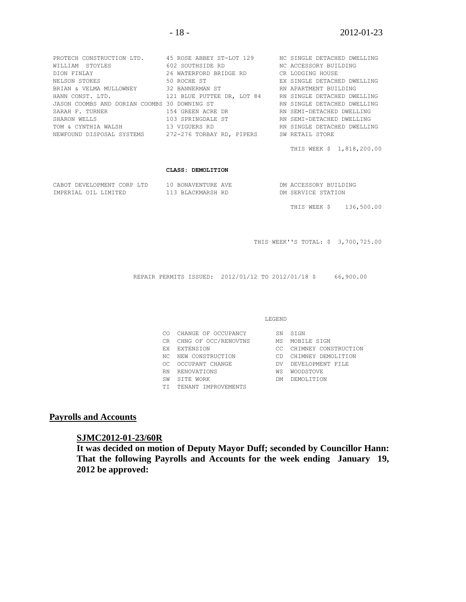| PROTECH CONSTRUCTION LTD. 45 ROSE ABBEY ST-LOT 129 NO SINGLE DETACHED DWELLING |                            |                             |
|--------------------------------------------------------------------------------|----------------------------|-----------------------------|
| WILLIAM STOYLES                                                                | 602 SOUTHSIDE RD           | NC ACCESSORY BUILDING       |
| DION FINLAY                                                                    | 26 WATERFORD BRIDGE RD     | CR LODGING HOUSE            |
| NELSON STOKES                                                                  | 50 ROCHE ST                | EX SINGLE DETACHED DWELLING |
| BRIAN & VELMA MULLOWNEY 32 BANNERMAN ST                                        |                            | RN APARTMENT BUILDING       |
| HANN CONST. LTD.                                                               | 121 BLUE PUTTEE DR, LOT 84 | RN SINGLE DETACHED DWELLING |
| JASON COOMBS AND DORIAN COOMBS 30 DOWNING ST                                   |                            | RN SINGLE DETACHED DWELLING |
| SARAH F. TURNER                                                                | 154 GREEN ACRE DR          | RN SEMI-DETACHED DWELLING   |
| SHARON WELLS                                                                   | 103 SPRINGDALE ST          | RN SEMI-DETACHED DWELLING   |
| TOM & CYNTHIA WALSH                                                            | 13 VIGUERS RD              | RN SINGLE DETACHED DWELLING |
| NEWFOUND DISPOSAL SYSTEMS                                                      | 272-276 TORBAY RD, PIPERS  | SW RETAIL STORE             |

THIS WEEK \$ 1,818,200.00

#### **CLASS: DEMOLITION**

| CABOT DEVELOPMENT CORP LTD | 10 BONAVENTURE AVE | DM ACCESSORY BUILDING |
|----------------------------|--------------------|-----------------------|
| IMPERIAL OIL LIMITED       | 113 BLACKMARSH RD  | DM SERVICE STATION    |

THIS WEEK \$ 136,500.00

THIS WEEK''S TOTAL: \$ 3,700,725.00

REPAIR PERMITS ISSUED: 2012/01/12 TO 2012/01/18 \$ 66,900.00

#### LEGEND

| CO  | CHANGE OF OCCUPANCY  | SN  | STGN                 |
|-----|----------------------|-----|----------------------|
| CR. | CHNG OF OCC/RENOVTNS | МS  | MOBILE SIGN          |
| F.X | EXTENSION            | CC. | CHIMNEY CONSTRUCTION |
| NC. | NEW CONSTRUCTION     | CD. | CHIMNEY DEMOLITION   |
| OC. | OCCUPANT CHANGE      | DV  | DEVELOPMENT FILE     |
| RN  | RENOVATIONS          | ΜS  | <b>WOODSTOVE</b>     |
| SW  | STTE WORK            | DМ  | DEMOLTTION           |
| TТ  | TENANT IMPROVEMENTS  |     |                      |

## **Payrolls and Accounts**

#### **SJMC2012-01-23/60R**

**It was decided on motion of Deputy Mayor Duff; seconded by Councillor Hann: That the following Payrolls and Accounts for the week ending January 19, 2012 be approved:**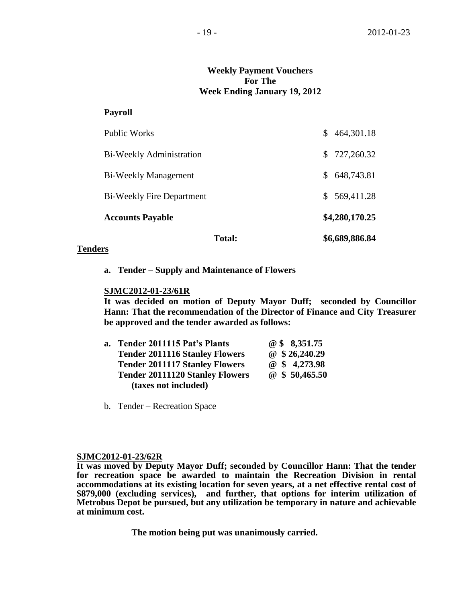# **Weekly Payment Vouchers For The Week Ending January 19, 2012**

### **Payroll**

|                                  | <b>Total:</b> |    | \$6,689,886.84 |
|----------------------------------|---------------|----|----------------|
| <b>Accounts Payable</b>          |               |    | \$4,280,170.25 |
| <b>Bi-Weekly Fire Department</b> |               |    | \$569,411.28   |
| Bi-Weekly Management             |               | \$ | 648,743.81     |
| Bi-Weekly Administration         |               | S. | 727,260.32     |
| <b>Public Works</b>              |               | S. | 464,301.18     |

### **Tenders**

**a. Tender – Supply and Maintenance of Flowers**

#### **SJMC2012-01-23/61R**

**It was decided on motion of Deputy Mayor Duff; seconded by Councillor Hann: That the recommendation of the Director of Finance and City Treasurer be approved and the tender awarded as follows:**

| a. Tender 2011115 Pat's Plants         | @ \$ 8,351.75 |
|----------------------------------------|---------------|
| <b>Tender 2011116 Stanley Flowers</b>  | @ \$26,240.29 |
| <b>Tender 2011117 Stanley Flowers</b>  | @ \$ 4,273.98 |
| <b>Tender 20111120 Stanley Flowers</b> | @\$50,465.50  |
| (taxes not included)                   |               |

b. Tender – Recreation Space

#### **SJMC2012-01-23/62R**

**It was moved by Deputy Mayor Duff; seconded by Councillor Hann: That the tender for recreation space be awarded to maintain the Recreation Division in rental accommodations at its existing location for seven years, at a net effective rental cost of \$879,000 (excluding services), and further, that options for interim utilization of Metrobus Depot be pursued, but any utilization be temporary in nature and achievable at minimum cost.**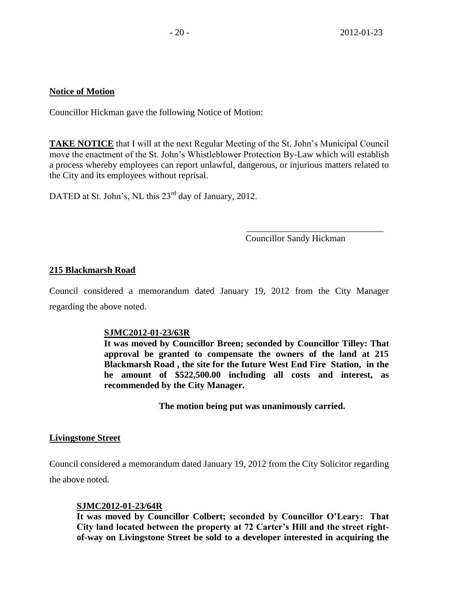# **Notice of Motion**

Councillor Hickman gave the following Notice of Motion:

**TAKE NOTICE** that I will at the next Regular Meeting of the St. John's Municipal Council move the enactment of the St. John's Whistleblower Protection By-Law which will establish a process whereby employees can report unlawful, dangerous, or injurious matters related to the City and its employees without reprisal.

DATED at St. John's, NL this 23<sup>rd</sup> day of January, 2012.

Councillor Sandy Hickman

\_\_\_\_\_\_\_\_\_\_\_\_\_\_\_\_\_\_\_\_\_\_\_\_\_\_\_\_\_\_

# **215 Blackmarsh Road**

Council considered a memorandum dated January 19, 2012 from the City Manager regarding the above noted.

# **SJMC2012-01-23/63R**

**It was moved by Councillor Breen; seconded by Councillor Tilley: That approval be granted to compensate the owners of the land at 215 Blackmarsh Road , the site for the future West End Fire Station, in the he amount of \$522,500.00 including all costs and interest, as recommended by the City Manager.**

**The motion being put was unanimously carried.**

# **Livingstone Street**

Council considered a memorandum dated January 19, 2012 from the City Solicitor regarding

the above noted.

# **SJMC2012-01-23/64R**

**It was moved by Councillor Colbert; seconded by Councillor O'Leary: That City land located between the property at 72 Carter's Hill and the street rightof-way on Livingstone Street be sold to a developer interested in acquiring the**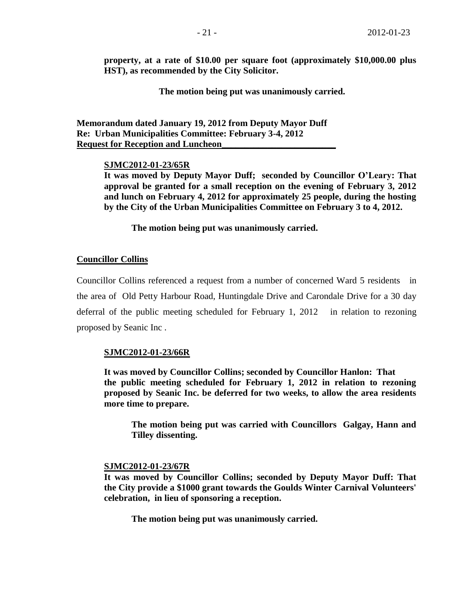**property, at a rate of \$10.00 per square foot (approximately \$10,000.00 plus HST), as recommended by the City Solicitor.**

**The motion being put was unanimously carried.** 

**Memorandum dated January 19, 2012 from Deputy Mayor Duff Re: Urban Municipalities Committee: February 3-4, 2012 Request for Reception and Luncheon\_\_\_\_\_\_\_\_\_\_\_\_\_\_\_\_\_\_\_\_\_\_\_\_\_**

#### **SJMC2012-01-23/65R**

**It was moved by Deputy Mayor Duff; seconded by Councillor O'Leary: That approval be granted for a small reception on the evening of February 3, 2012 and lunch on February 4, 2012 for approximately 25 people, during the hosting by the City of the Urban Municipalities Committee on February 3 to 4, 2012.** 

**The motion being put was unanimously carried.**

#### **Councillor Collins**

Councillor Collins referenced a request from a number of concerned Ward 5 residents in the area of Old Petty Harbour Road, Huntingdale Drive and Carondale Drive for a 30 day deferral of the public meeting scheduled for February 1, 2012 in relation to rezoning proposed by Seanic Inc .

#### **SJMC2012-01-23/66R**

**It was moved by Councillor Collins; seconded by Councillor Hanlon: That the public meeting scheduled for February 1, 2012 in relation to rezoning proposed by Seanic Inc. be deferred for two weeks, to allow the area residents more time to prepare.**

**The motion being put was carried with Councillors Galgay, Hann and Tilley dissenting.**

#### **SJMC2012-01-23/67R**

**It was moved by Councillor Collins; seconded by Deputy Mayor Duff: That the City provide a \$1000 grant towards the Goulds Winter Carnival Volunteers' celebration, in lieu of sponsoring a reception.**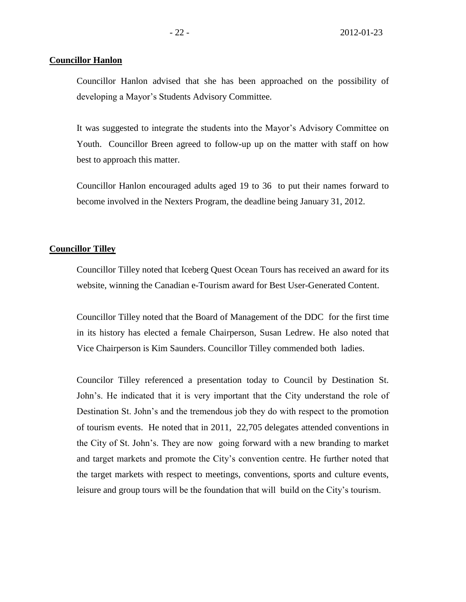#### **Councillor Hanlon**

Councillor Hanlon advised that she has been approached on the possibility of developing a Mayor's Students Advisory Committee.

It was suggested to integrate the students into the Mayor's Advisory Committee on Youth. Councillor Breen agreed to follow-up up on the matter with staff on how best to approach this matter.

Councillor Hanlon encouraged adults aged 19 to 36 to put their names forward to become involved in the Nexters Program, the deadline being January 31, 2012.

#### **Councillor Tilley**

Councillor Tilley noted that Iceberg Quest Ocean Tours has received an award for its website, winning the Canadian e-Tourism award for Best User-Generated Content.

Councillor Tilley noted that the Board of Management of the DDC for the first time in its history has elected a female Chairperson, Susan Ledrew. He also noted that Vice Chairperson is Kim Saunders. Councillor Tilley commended both ladies.

Councilor Tilley referenced a presentation today to Council by Destination St. John's. He indicated that it is very important that the City understand the role of Destination St. John's and the tremendous job they do with respect to the promotion of tourism events. He noted that in 2011, 22,705 delegates attended conventions in the City of St. John's. They are now going forward with a new branding to market and target markets and promote the City's convention centre. He further noted that the target markets with respect to meetings, conventions, sports and culture events, leisure and group tours will be the foundation that will build on the City's tourism.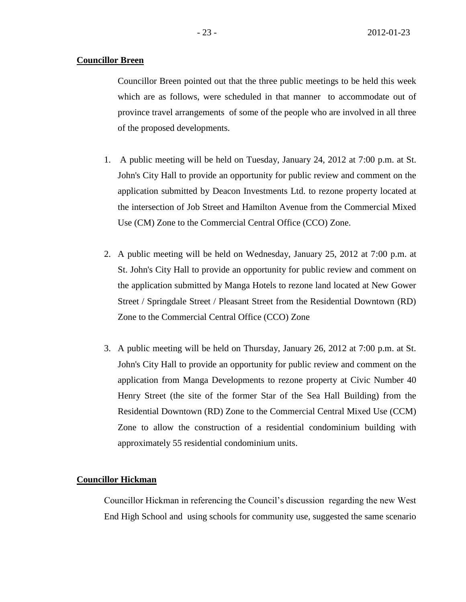## **Councillor Breen**

Councillor Breen pointed out that the three public meetings to be held this week which are as follows, were scheduled in that manner to accommodate out of province travel arrangements of some of the people who are involved in all three of the proposed developments.

- 1. A public meeting will be held on Tuesday, January 24, 2012 at 7:00 p.m. at St. John's City Hall to provide an opportunity for public review and comment on the application submitted by Deacon Investments Ltd. to rezone property located at the intersection of Job Street and Hamilton Avenue from the Commercial Mixed Use (CM) Zone to the Commercial Central Office (CCO) Zone.
- 2. A public meeting will be held on Wednesday, January 25, 2012 at 7:00 p.m. at St. John's City Hall to provide an opportunity for public review and comment on the application submitted by Manga Hotels to rezone land located at New Gower Street / Springdale Street / Pleasant Street from the Residential Downtown (RD) Zone to the Commercial Central Office (CCO) Zone
- 3. A public meeting will be held on Thursday, January 26, 2012 at 7:00 p.m. at St. John's City Hall to provide an opportunity for public review and comment on the application from Manga Developments to rezone property at Civic Number 40 Henry Street (the site of the former Star of the Sea Hall Building) from the Residential Downtown (RD) Zone to the Commercial Central Mixed Use (CCM) Zone to allow the construction of a residential condominium building with approximately 55 residential condominium units.

#### **Councillor Hickman**

Councillor Hickman in referencing the Council's discussion regarding the new West End High School and using schools for community use, suggested the same scenario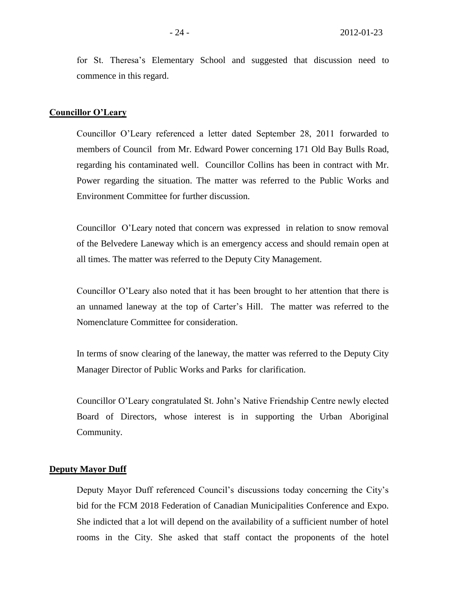for St. Theresa's Elementary School and suggested that discussion need to commence in this regard.

#### **Councillor O'Leary**

Councillor O'Leary referenced a letter dated September 28, 2011 forwarded to members of Council from Mr. Edward Power concerning 171 Old Bay Bulls Road, regarding his contaminated well. Councillor Collins has been in contract with Mr. Power regarding the situation. The matter was referred to the Public Works and Environment Committee for further discussion.

Councillor O'Leary noted that concern was expressed in relation to snow removal of the Belvedere Laneway which is an emergency access and should remain open at all times. The matter was referred to the Deputy City Management.

Councillor O'Leary also noted that it has been brought to her attention that there is an unnamed laneway at the top of Carter's Hill. The matter was referred to the Nomenclature Committee for consideration.

In terms of snow clearing of the laneway, the matter was referred to the Deputy City Manager Director of Public Works and Parks for clarification.

Councillor O'Leary congratulated St. John's Native Friendship Centre newly elected Board of Directors, whose interest is in supporting the Urban Aboriginal Community.

#### **Deputy Mayor Duff**

Deputy Mayor Duff referenced Council's discussions today concerning the City's bid for the FCM 2018 Federation of Canadian Municipalities Conference and Expo. She indicted that a lot will depend on the availability of a sufficient number of hotel rooms in the City. She asked that staff contact the proponents of the hotel